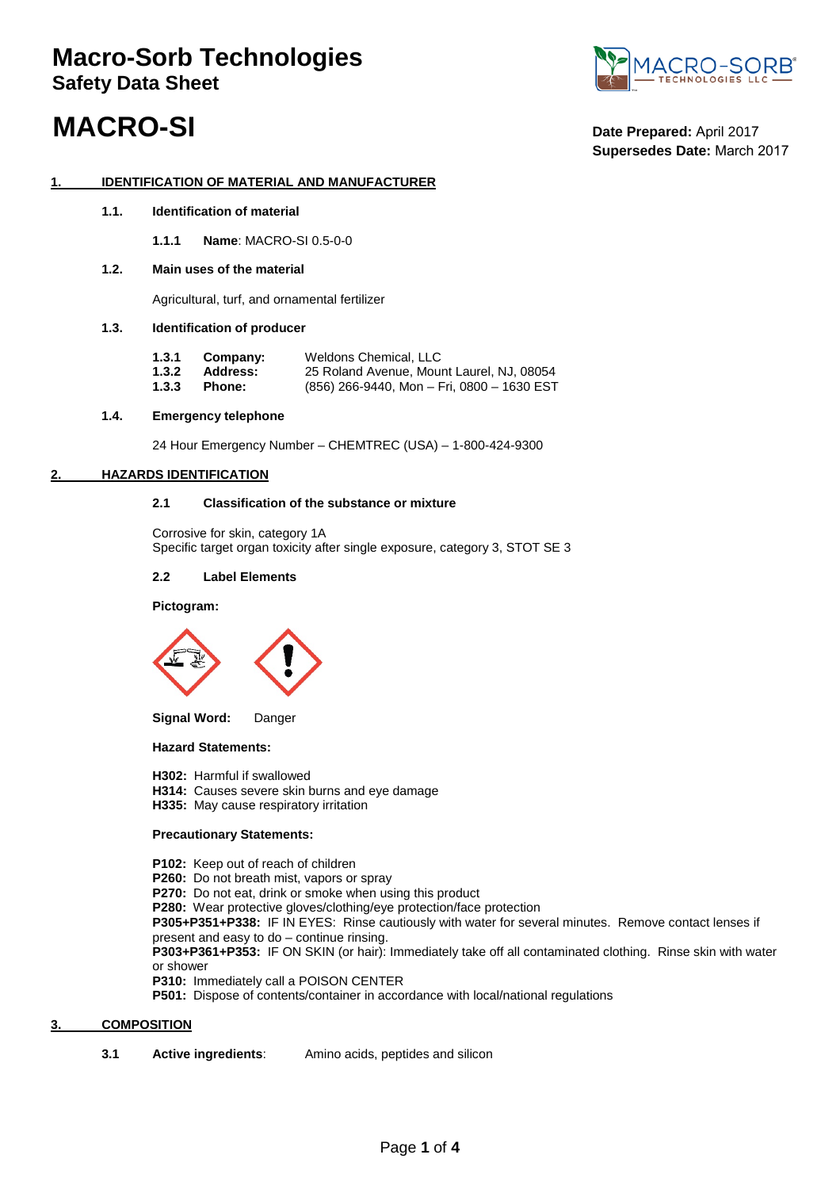# **Macro-Sorb Technologies Safety Data Sheet**



# **MACRO-SI** Date Prepared: April 2017

# **Supersedes Date:** March 2017

### **1. IDENTIFICATION OF MATERIAL AND MANUFACTURER**

**1.1. Identification of material**

**1.1.1 Name**: MACRO-SI 0.5-0-0

### **1.2. Main uses of the material**

Agricultural, turf, and ornamental fertilizer

### **1.3. Identification of producer**

| 1.3.1 | Company:        | Weldons Chemical, LLC                      |
|-------|-----------------|--------------------------------------------|
| 1.3.2 | <b>Address:</b> | 25 Roland Avenue, Mount Laurel, NJ, 08054  |
| 1.3.3 | Phone:          | (856) 266-9440. Mon – Fri. 0800 – 1630 EST |

#### **1.4. Emergency telephone**

24 Hour Emergency Number – CHEMTREC (USA) – 1-800-424-9300

### **2. HAZARDS IDENTIFICATION**

### **2.1 Classification of the substance or mixture**

Corrosive for skin, category 1A Specific target organ toxicity after single exposure, category 3, STOT SE 3

### **2.2 Label Elements**

#### **Pictogram:**



**Signal Word:** Danger

### **Hazard Statements:**

- **H302:** Harmful if swallowed
- **H314:** Causes severe skin burns and eye damage
- **H335:** May cause respiratory irritation

### **Precautionary Statements:**

- **P102:** Keep out of reach of children
- **P260:** Do not breath mist, vapors or spray
- **P270:** Do not eat, drink or smoke when using this product

**P280:** Wear protective gloves/clothing/eye protection/face protection

**P305+P351+P338:** IF IN EYES: Rinse cautiously with water for several minutes. Remove contact lenses if present and easy to do – continue rinsing.

**P303+P361+P353:** IF ON SKIN (or hair): Immediately take off all contaminated clothing. Rinse skin with water or shower

**P310:** Immediately call a POISON CENTER

**P501:** Dispose of contents/container in accordance with local/national regulations

### **3. COMPOSITION**

**3.1 Active ingredients**: Amino acids, peptides and silicon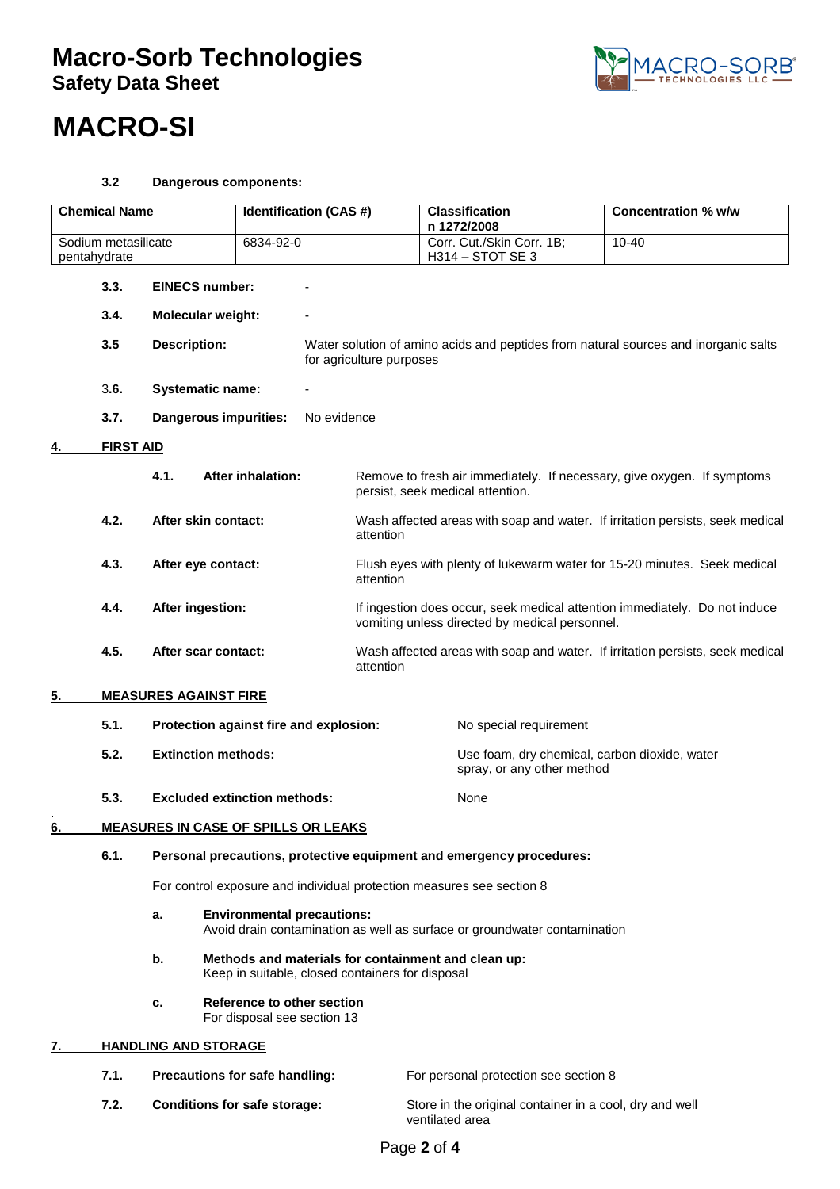# **Macro-Sorb Technologies Safety Data Sheet**



# **MACRO-SI**

## **3.2 Dangerous components:**

| <b>Chemical Name</b> |                             | <b>Identification (CAS#)</b>                                                                                         |                                                                                                         | <b>Classification</b>                                                               |                                                                               | <b>Concentration % w/w</b>                              |                                                                               |
|----------------------|-----------------------------|----------------------------------------------------------------------------------------------------------------------|---------------------------------------------------------------------------------------------------------|-------------------------------------------------------------------------------------|-------------------------------------------------------------------------------|---------------------------------------------------------|-------------------------------------------------------------------------------|
| Sodium metasilicate  |                             | 6834-92-0                                                                                                            |                                                                                                         | n 1272/2008                                                                         | Corr. Cut./Skin Corr. 1B;                                                     | $10 - 40$                                               |                                                                               |
| pentahydrate         |                             |                                                                                                                      |                                                                                                         |                                                                                     | H314 - STOT SE 3                                                              |                                                         |                                                                               |
|                      | 3.3.                        | <b>EINECS number:</b>                                                                                                |                                                                                                         |                                                                                     |                                                                               |                                                         |                                                                               |
|                      | 3.4.                        | <b>Molecular weight:</b>                                                                                             |                                                                                                         |                                                                                     |                                                                               |                                                         |                                                                               |
|                      | 3.5                         | <b>Description:</b>                                                                                                  | for agriculture purposes                                                                                | Water solution of amino acids and peptides from natural sources and inorganic salts |                                                                               |                                                         |                                                                               |
|                      | 3.6.                        | <b>Systematic name:</b>                                                                                              |                                                                                                         |                                                                                     |                                                                               |                                                         |                                                                               |
|                      | 3.7.                        | <b>Dangerous impurities:</b>                                                                                         | No evidence                                                                                             |                                                                                     |                                                                               |                                                         |                                                                               |
|                      | <b>FIRST AID</b>            |                                                                                                                      |                                                                                                         |                                                                                     |                                                                               |                                                         |                                                                               |
|                      |                             | 4.1.                                                                                                                 | <b>After inhalation:</b>                                                                                |                                                                                     | persist, seek medical attention.                                              |                                                         | Remove to fresh air immediately. If necessary, give oxygen. If symptoms       |
|                      | 4.2.                        | After skin contact:                                                                                                  |                                                                                                         | attention                                                                           | Wash affected areas with soap and water. If irritation persists, seek medical |                                                         |                                                                               |
|                      | 4.3.                        | After eye contact:                                                                                                   |                                                                                                         | attention                                                                           |                                                                               |                                                         | Flush eyes with plenty of lukewarm water for 15-20 minutes. Seek medical      |
|                      | 4.4.                        | After ingestion:                                                                                                     |                                                                                                         |                                                                                     |                                                                               | vomiting unless directed by medical personnel.          | If ingestion does occur, seek medical attention immediately. Do not induce    |
|                      | 4.5.                        | After scar contact:                                                                                                  |                                                                                                         | attention                                                                           |                                                                               |                                                         | Wash affected areas with soap and water. If irritation persists, seek medical |
| 5.                   |                             | <b>MEASURES AGAINST FIRE</b>                                                                                         |                                                                                                         |                                                                                     |                                                                               |                                                         |                                                                               |
|                      | 5.1.                        | Protection against fire and explosion:<br>No special requirement                                                     |                                                                                                         |                                                                                     |                                                                               |                                                         |                                                                               |
|                      | 5.2.                        | <b>Extinction methods:</b>                                                                                           |                                                                                                         |                                                                                     |                                                                               | spray, or any other method                              | Use foam, dry chemical, carbon dioxide, water                                 |
|                      | 5.3.                        | <b>Excluded extinction methods:</b>                                                                                  |                                                                                                         |                                                                                     | None                                                                          |                                                         |                                                                               |
| 6.                   |                             | <b>MEASURES IN CASE OF SPILLS OR LEAKS</b>                                                                           |                                                                                                         |                                                                                     |                                                                               |                                                         |                                                                               |
|                      | 6.1.                        | Personal precautions, protective equipment and emergency procedures:                                                 |                                                                                                         |                                                                                     |                                                                               |                                                         |                                                                               |
|                      |                             | For control exposure and individual protection measures see section 8                                                |                                                                                                         |                                                                                     |                                                                               |                                                         |                                                                               |
|                      |                             | <b>Environmental precautions:</b><br>a.<br>Avoid drain contamination as well as surface or groundwater contamination |                                                                                                         |                                                                                     |                                                                               |                                                         |                                                                               |
|                      |                             | b.                                                                                                                   | Methods and materials for containment and clean up:<br>Keep in suitable, closed containers for disposal |                                                                                     |                                                                               |                                                         |                                                                               |
|                      |                             | c.                                                                                                                   | Reference to other section<br>For disposal see section 13                                               |                                                                                     |                                                                               |                                                         |                                                                               |
| 7.                   | <b>HANDLING AND STORAGE</b> |                                                                                                                      |                                                                                                         |                                                                                     |                                                                               |                                                         |                                                                               |
|                      | 7.1.                        | Precautions for safe handling:                                                                                       |                                                                                                         |                                                                                     | For personal protection see section 8                                         |                                                         |                                                                               |
|                      | 7.2.                        | <b>Conditions for safe storage:</b>                                                                                  |                                                                                                         |                                                                                     | ventilated area                                                               | Store in the original container in a cool, dry and well |                                                                               |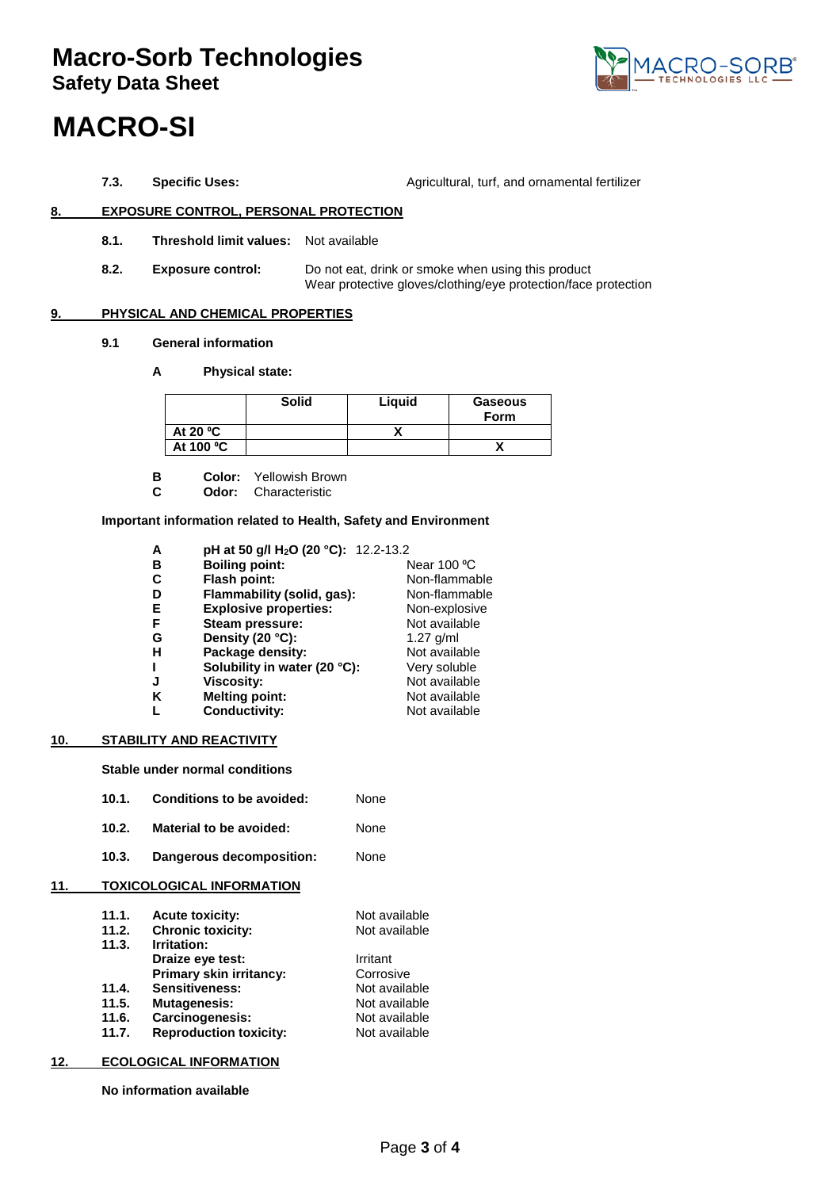# **Macro-Sorb Technologies Safety Data Sheet**



# **MACRO-SI**

**7.3. Specific Uses:** Agricultural, turf, and ornamental fertilizer

## **8. EXPOSURE CONTROL, PERSONAL PROTECTION**

- **8.1. Threshold limit values:** Not available
- **8.2. Exposure control:** Do not eat, drink or smoke when using this product Wear protective gloves/clothing/eye protection/face protection

### **9. PHYSICAL AND CHEMICAL PROPERTIES**

- **9.1 General information**
	- **A Physical state:**

|            | <b>Solid</b> | Liguid | Gaseous<br>Form |
|------------|--------------|--------|-----------------|
| At 20 $°C$ |              |        |                 |
| At 100 °C  |              |        |                 |

- **B Color:** Yellowish Brown<br>**C Odor:** Characteristic
- **Odor:** Characteristic

### **Important information related to Health, Safety and Environment**

**A pH at 50 g/l H2O (20 °C):** 12.2-13.2

| в | <b>Boiling point:</b>        | Near 100 °C   |
|---|------------------------------|---------------|
| С | Flash point:                 | Non-flammable |
| D | Flammability (solid, gas):   | Non-flammable |
| E | <b>Explosive properties:</b> | Non-explosive |
| F | Steam pressure:              | Not available |
| G | Density (20 °C):             | $1.27$ g/ml   |
| H | Package density:             | Not available |
| L | Solubility in water (20 °C): | Very soluble  |
| J | <b>Viscosity:</b>            | Not available |
| K | <b>Melting point:</b>        | Not available |
| L | <b>Conductivity:</b>         | Not available |
|   |                              |               |

### **10. STABILITY AND REACTIVITY**

**Stable under normal conditions** 

- **10.1. Conditions to be avoided:** None
- **10.2. Material to be avoided:** None
- **10.3. Dangerous decomposition:** None

### **11. TOXICOLOGICAL INFORMATION**

| 11.1. | <b>Acute toxicity:</b>        | Not available |
|-------|-------------------------------|---------------|
| 11.2. | <b>Chronic toxicity:</b>      | Not available |
| 11.3. | Irritation:                   |               |
|       | Draize eye test:              | Irritant      |
|       | Primary skin irritancy:       | Corrosive     |
| 11.4. | <b>Sensitiveness:</b>         | Not available |
| 11.5. | <b>Mutagenesis:</b>           | Not available |
| 11.6. | Carcinogenesis:               | Not available |
| 11.7. | <b>Reproduction toxicity:</b> | Not available |
|       |                               |               |

### **12. ECOLOGICAL INFORMATION**

**No information available**